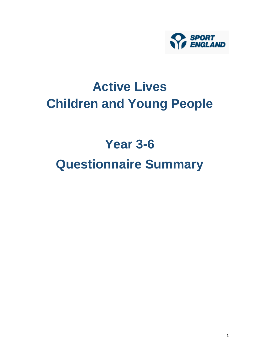

## **Active Lives Children and Young People**

# **Year 3-6 Questionnaire Summary**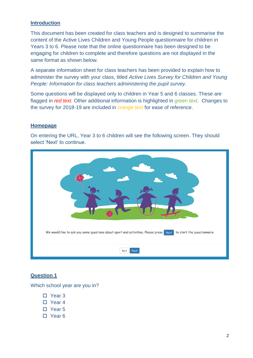#### **Introduction**

This document has been created for class teachers and is designed to summarise the content of the Active Lives Children and Young People questionnaire for children in Years 3 to 6. Please note that the online questionnaire has been designed to be engaging for children to complete and therefore questions are not displayed in the same format as shown below.

A separate information sheet for class teachers has been provided to explain how to administer the survey with your class, titled *Active Lives Survey for Children and Young People: Information for class teachers administering the pupil survey*.

Some questions will be displayed only to children in Year 5 and 6 classes. These are flagged in *red text*. Other additional information is highlighted in *green text*. Changes to the survey for 2018-19 are included in *orange text* for ease of reference.

#### **Homepage**

On entering the URL, Year 3 to 6 children will see the following screen. They should select 'Next' to continue.



#### **Question 1**

Which school year are you in?

- □ Year 3
- Year 4
- □ Year 5
- □ Year 6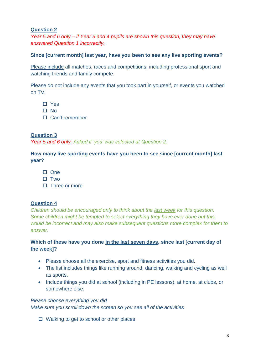*Year 5 and 6 only – if Year 3 and 4 pupils are shown this question, they may have answered Question 1 incorrectly.*

#### **Since [current month] last year, have you been to see any live sporting events?**

Please include all matches, races and competitions, including professional sport and watching friends and family compete.

Please do not include any events that you took part in yourself, or events you watched on TV.

- □ Yes
- $\Pi$  No
- □ Can't remember

#### **Question 3**

*Year 5 and 6 only. Asked if 'yes' was selected at Question 2.*

**How many live sporting events have you been to see since [current month] last year?**

- $\square$  One
- $\Pi$  Two
- $\Pi$  Three or more

#### **Question 4**

*Children should be encouraged only to think about the last week for this question. Some children might be tempted to select everything they have ever done but this would be incorrect and may also make subsequent questions more complex for them to answer.*

#### **Which of these have you done in the last seven days, since last [current day of the week]?**

- Please choose all the exercise, sport and fitness activities you did.
- The list includes things like running around, dancing, walking and cycling as well as sports.
- Include things you did at school (including in PE lessons), at home, at clubs, or somewhere else.

#### *Please choose everything you did*

*Make sure you scroll down the screen so you see all of the activities*

 $\Box$  Walking to get to school or other places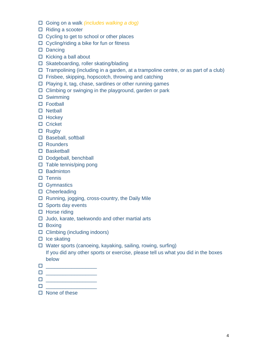- Going on a walk *(includes walking a dog)*
- $\Box$  Riding a scooter
- $\Box$  Cycling to get to school or other places
- $\Box$  Cycling/riding a bike for fun or fitness
- $\square$  Dancing
- $\Box$  Kicking a ball about
- □ Skateboarding, roller skating/blading
- $\Box$  Trampolining (including in a garden, at a trampoline centre, or as part of a club)
- $\Box$  Frisbee, skipping, hopscotch, throwing and catching
- $\Box$  Playing it, tag, chase, sardines or other running games
- $\Box$  Climbing or swinging in the playground, garden or park
- □ Swimming
- □ Football
- $\square$  Netball
- $\Box$  Hockey
- □ Cricket
- $\Box$  Rugby
- □ Baseball, softball
- □ Rounders
- □ Basketball
- Dodgeball, benchball
- $\Box$  Table tennis/ping pong
- $\square$  Badminton
- $\square$  Tennis
- □ Gymnastics
- □ Cheerleading
- □ Running, jogging, cross-country, the Daily Mile
- $\square$  Sports day events
- $\Box$  Horse riding
- $\Box$  Judo, karate, taekwondo and other martial arts
- □ Boxing
- $\Box$  Climbing (including indoors)
- $\Box$  Ice skating
- □ Water sports (canoeing, kayaking, sailing, rowing, surfing)
- If you did any other sports or exercise, please tell us what you did in the boxes below
- $\Box$
- $\Box$
- \_\_\_\_\_\_\_\_\_\_\_\_\_\_\_\_\_\_
- $\Box$
- □ None of these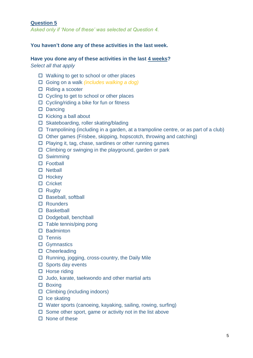*Asked only if 'None of these' was selected at Question 4.*

#### **You haven't done any of these activities in the last week.**

#### **Have you done any of these activities in the last 4 weeks?**

*Select all that apply*

- $\Box$  Walking to get to school or other places
- Going on a walk *(includes walking a dog)*
- $\Box$  Riding a scooter
- □ Cycling to get to school or other places
- $\Box$  Cycling/riding a bike for fun or fitness
- $\square$  Dancing
- $\Box$  Kicking a ball about
- □ Skateboarding, roller skating/blading
- $\Box$  Trampolining (including in a garden, at a trampoline centre, or as part of a club)
- $\Box$  Other games (Frisbee, skipping, hopscotch, throwing and catching)
- $\Box$  Playing it, tag, chase, sardines or other running games
- $\Box$  Climbing or swinging in the playground, garden or park
- □ Swimming
- □ Football
- $\square$  Netball
- $\Box$  Hockey
- □ Cricket
- $\Box$  Rugby
- □ Baseball, softball
- Rounders
- □ Basketball
- Dodgeball, benchball
- $\Box$  Table tennis/ping pong
- $\Box$  Badminton
- $\square$  Tennis
- □ Gymnastics
- □ Cheerleading
- $\Box$  Running, jogging, cross-country, the Daily Mile
- $\square$  Sports day events
- $\Box$  Horse riding
- $\Box$  Judo, karate, taekwondo and other martial arts
- □ Boxing
- $\Box$  Climbing (including indoors)
- $\Box$  Ice skating
- □ Water sports (canoeing, kayaking, sailing, rowing, surfing)
- $\square$  Some other sport, game or activity not in the list above
- $\square$  None of these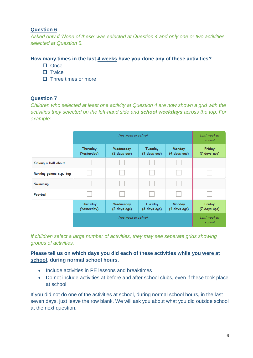*Asked only if 'None of these' was selected at Question 4 and only one or two activities selected at Question 5.*

#### **How many times in the last 4 weeks have you done any of these activities?**

- $\Pi$  Once
- $\n **Twice**\n$
- $\Pi$  Three times or more

#### **Question 7**

*Children who selected at least one activity at Question 4 are now shown a grid with the activities they selected on the left-hand side and school weekdays across the top. For example:*

|                        |                         | Last week at<br>school                                                         |                         |                        |                        |  |
|------------------------|-------------------------|--------------------------------------------------------------------------------|-------------------------|------------------------|------------------------|--|
|                        | Thursday<br>(Yesterday) | Wednesday<br>(2 days ago)                                                      | Tuesday<br>(3 days ago) | Monday<br>(4 days ago) | Friday<br>(7 days ago) |  |
| Kicking a ball about   |                         |                                                                                |                         |                        |                        |  |
| Running games e.g. tag |                         |                                                                                |                         |                        |                        |  |
| Swimming               |                         |                                                                                |                         |                        |                        |  |
| Football               |                         |                                                                                |                         |                        |                        |  |
|                        | Thursday<br>(Yesterday) | Monday<br>Tuesday<br>Wednesday<br>(2 days ago)<br>(3 days ago)<br>(4 days ago) |                         |                        | Friday<br>(7 days ago) |  |
|                        |                         | Last week at<br>school                                                         |                         |                        |                        |  |

*If children select a large number of activities, they may see separate grids showing groups of activities.* 

**Please tell us on which days you did each of these activities while you were at school, during normal school hours.** 

- Include activities in PE lessons and breaktimes
- Do not include activities at before and after school clubs, even if these took place at school

If you did not do one of the activities at school, during normal school hours, in the last seven days, just leave the row blank. We will ask you about what you did outside school at the next question.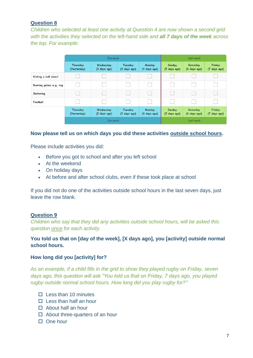*Children who selected at least one activity at Question 4 are now shown a second grid with the activities they selected on the left-hand side and all 7 days of the week across the top. For example:*

|                        | This week                                                                                                 |                           |                         |                        | Last week                |                          |                        |  |
|------------------------|-----------------------------------------------------------------------------------------------------------|---------------------------|-------------------------|------------------------|--------------------------|--------------------------|------------------------|--|
|                        | Thursday<br>(Yesterday)                                                                                   | Wednesday<br>(2 days ago) | Tuesday<br>(3 days ago) | Monday<br>(4 days ago) | Sunday<br>(5 days ago)   | Saturday<br>(6 days ago) | Friday<br>(7 days ago) |  |
| Kicking a ball about   |                                                                                                           |                           |                         |                        |                          |                          |                        |  |
| Running games e.g. tag |                                                                                                           |                           |                         |                        |                          |                          |                        |  |
| Swimming               |                                                                                                           |                           |                         |                        |                          |                          |                        |  |
| Football               |                                                                                                           |                           |                         |                        |                          |                          |                        |  |
|                        | Wednesday<br>Monday<br>Thursday<br>Tuesday<br>(Yesterday)<br>(2 days ago)<br>(4 days ago)<br>(3 days ago) |                           |                         | Sunday<br>(5 days ago) | Saturday<br>(6 days ago) | Friday<br>(7 days ago)   |                        |  |
|                        |                                                                                                           | Last week                 |                         |                        |                          |                          |                        |  |

#### **Now please tell us on which days you did these activities outside school hours.**

Please include activities you did:

- Before you got to school and after you left school
- At the weekend
- On holiday days
- At before and after school clubs, even if these took place at school

If you did not do one of the activities outside school hours in the last seven days, just leave the row blank.

#### **Question 9**

*Children who say that they did any activities outside school hours, will be asked this question once for each activity.* 

#### **You told us that on [day of the week], [X days ago], you [activity] outside normal school hours.**

#### **How long did you [activity] for?**

*As an example, if a child fills in the grid to show they played rugby on Friday, seven days ago, this question will ask "You told us that on Friday, 7 days ago, you played rugby outside normal school hours. How long did you play rugby for?"*

- $\Box$  Less than 10 minutes
- $\Pi$  Less than half an hour
- $\Box$  About half an hour
- $\Box$  About three-quarters of an hour
- $\Box$  One hour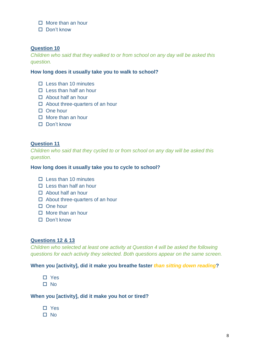#### $\Box$  More than an hour

□ Don't know

#### **Question 10**

*Children who said that they walked to or from school on any day will be asked this question.* 

#### **How long does it usually take you to walk to school?**

- $\Box$  Less than 10 minutes
- $\square$  Less than half an hour
- □ About half an hour
- $\Box$  About three-quarters of an hour
- $\Box$  One hour
- $\Pi$  More than an hour
- D Don't know

#### **Question 11**

*Children who said that they cycled to or from school on any day will be asked this question.* 

#### **How long does it usually take you to cycle to school?**

- $\Box$  Less than 10 minutes
- $\Box$  Less than half an hour
- □ About half an hour
- $\Box$  About three-quarters of an hour
- $\Box$  One hour
- $\Box$  More than an hour
- $\Box$  Don't know

#### **Questions 12 & 13**

*Children who selected at least one activity at Question 4 will be asked the following questions for each activity they selected. Both questions appear on the same screen.* 

#### **When you [activity], did it make you breathe faster** *than sitting down reading***?**

- Yes
- $\square$  No

#### **When you [activity], did it make you hot or tired?**

- Yes
- $\Pi$  No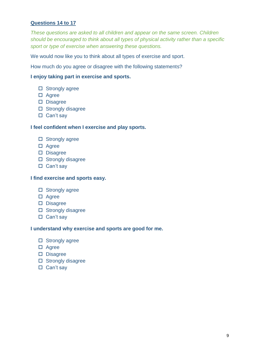#### **Questions 14 to 17**

*These questions are asked to all children and appear on the same screen. Children should be encouraged to think about all types of physical activity rather than a specific sport or type of exercise when answering these questions.* 

We would now like you to think about all types of exercise and sport.

How much do you agree or disagree with the following statements?

#### **I enjoy taking part in exercise and sports.**

- $\square$  Strongly agree
- □ Agree
- D Disagree
- $\square$  Strongly disagree
- $\Box$  Can't say

#### **I feel confident when I exercise and play sports.**

- $\square$  Strongly agree
- □ Agree
- Disagree
- $\square$  Strongly disagree
- □ Can't say

#### **I find exercise and sports easy.**

- $\square$  Strongly agree
- □ Agree
- Disagree
- $\square$  Strongly disagree
- $\square$  Can't say

#### **I understand why exercise and sports are good for me.**

- $\square$  Strongly agree
- □ Agree
- D Disagree
- $\square$  Strongly disagree
- $\Box$  Can't say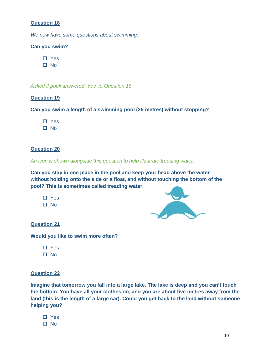*We now have some questions about swimming.* 

#### **Can you swim?**

□ Yes  $\square$  No

*Asked if pupil answered 'Yes' to Question 18.*

#### **Question 19**

**Can you swim a length of a swimming pool (25 metres) without stopping?**

□ Yes

 $\Pi$  No

#### **Question 20**

*An icon is shown alongside this question to help illustrate treading water.*

**Can you stay in one place in the pool and keep your head above the water without holding onto the side or a float, and without touching the bottom of the pool? This is sometimes called treading water.**

□ No



**Question 21**

**Would you like to swim more often?**

| ۰.<br>÷<br>≕ |
|--------------|
|              |

#### **Question 22**

**Imagine that tomorrow you fall into a large lake. The lake is deep and you can't touch the bottom. You have all your clothes on, and you are about five metres away from the land (this is the length of a large car). Could you get back to the land without someone helping you?**

□ Yes  $\Pi$  No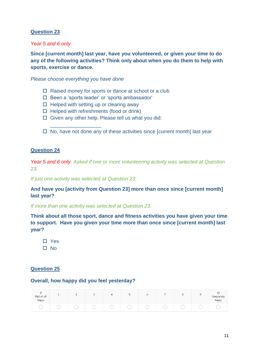#### *Year 5 and 6 only.*

**Since [current month] last year, have you volunteered, or given your time to do any of the following activities? Think only about when you do them to help with sports, exercise or dance.**

*Please choose everything you have done*

\_\_\_\_\_\_\_\_\_\_\_\_\_\_\_\_\_\_

- $\Box$  Raised money for sports or dance at school or a club
- □ Been a 'sports leader' or 'sports ambassador'
- $\Box$  Helped with setting up or clearing away
- $\Box$  Helped with refreshments (food or drink)
- $\Box$  Given any other help. Please tell us what you did:
- $\Box$  No, have not done any of these activities since [current month] last year

#### **Question 24**

*Year 5 and 6 only. Asked if one or more volunteering activity was selected at Question 23.* 

*If just one activity was selected at Question 23:*

**And have you [activity from Question 23] more than once since [current month] last year?**

*If more than one activity was selected at Question 23:*

**Think about all those sport, dance and fitness activities you have given your time to support. Have you given your time more than once since [current month] last year?**

□ Yes No

#### **Question 25**

#### **Overall, how happy did you feel yesterday?**

| Not at all<br>happy |  |  | -<br>h<br>÷ | о | $\sim$ | ٥ | 1U<br>Completely<br>happy |
|---------------------|--|--|-------------|---|--------|---|---------------------------|
|                     |  |  |             |   |        |   |                           |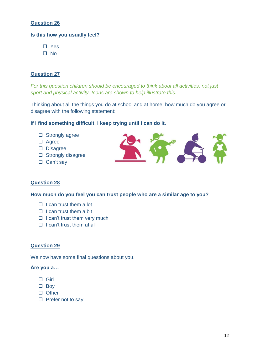#### **Is this how you usually feel?**

- □ Yes
- □ No

#### **Question 27**

*For this question children should be encouraged to think about all activities, not just sport and physical activity. Icons are shown to help illustrate this.*

Thinking about all the things you do at school and at home, how much do you agree or disagree with the following statement:

#### **If I find something difficult, I keep trying until I can do it.**

- $\square$  Strongly agree
- □ Agree
- Disagree
- $\square$  Strongly disagree
- $\Box$  Can't say

#### **Question 28**

**How much do you feel you can trust people who are a similar age to you?**

- $\Box$  I can trust them a lot
- $\Box$  I can trust them a bit
- $\Box$  I can't trust them very much
- $\Box$  I can't trust them at all

#### **Question 29**

We now have some final questions about you.

#### **Are you a…**

- $\Box$  Girl
- $\square$  Boy
- □ Other
- $\square$  Prefer not to say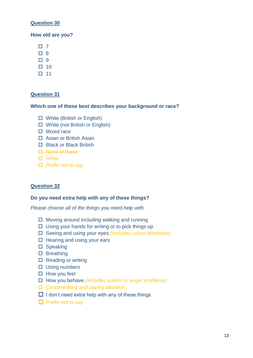#### **How old are you?**

- $\Box$  7
- 8
- □ 9
- $\Box$  10
- $\Box$  11

#### **Question 31**

#### **Which one of these best describes your background or race?**

- White (British or English)
- White (not British or English)
- □ Mixed race
- □ Asian or British Asian
- □ Black or Black British
- $\Box$  None of these
- *Other*
- *Prefer not to say*

#### **Question 32**

#### **Do you need extra help with any of these things?**

*Please choose all of the things you need help with.*

- $\Box$  Moving around including walking and running
- $\Box$  Using your hands for writing or to pick things up
- Seeing and using your eyes *(includes colour blindness)*
- $\Box$  Hearing and using your ears
- $\square$  Speaking
- □ Breathing
- $\square$  Reading or writing
- $\square$  Using numbers
- $\Box$  How you feel
- How you behave *(includes autism or anger problems)*
- *Concentrating and paying attention*
- $\Box$  I don't need extra help with any of these things
- *Prefer not to say*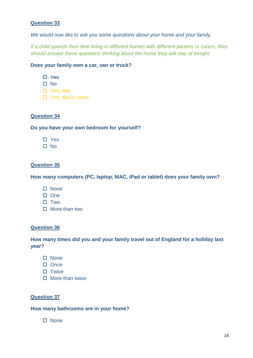*We would now like to ask you some questions about your home and your family.*

*If a child spends their time living in different homes with different parents or carers, they should answer these questions thinking about the home they will stay at tonight.* 

#### **Does your family own a car, van or truck?**

| ٠<br>× |
|--------|

- No
- *Yes, one*
- *Yes, two or more*

#### **Question 34**

#### **Do you have your own bedroom for yourself?**

- □ Yes
- □ No

#### **Question 35**

#### **How many computers (PC, laptop, MAC, iPad or tablet) does your family own?**

- $\square$  None
- $\square$  One
- $\square$  Two
- $\Box$  More than two

#### **Question 36**

#### **How many times did you and your family travel out of England for a holiday last year?**

- $\square$  None
- $\square$  Once
- $\square$  Twice
- $\Box$  More than twice

#### **Question 37**

#### **How many bathrooms are in your home?**

 $\square$  None